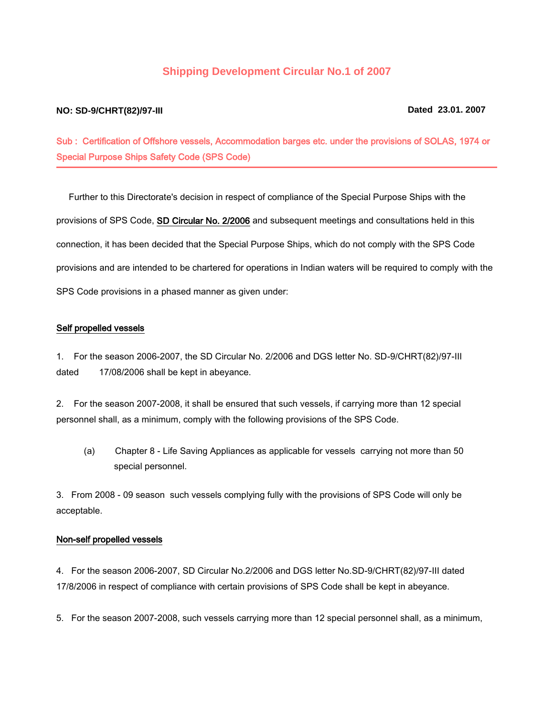# **Shipping Development Circular No.1 of 2007**

## **NO: SD-9/CHRT(82)/97-III Dated 23.01. 2007**

Sub : Certification of Offshore vessels, Accommodation barges etc. under the provisions of SOLAS, 1974 or Special Purpose Ships Safety Code (SPS Code)

 Further to this Directorate's decision in respect of compliance of the Special Purpose Ships with the provisions of SPS Code, SD Circular No. 2/2006 and subsequent meetings and consultations held in this connection, it has been decided that the Special Purpose Ships, which do not comply with the SPS Code provisions and are intended to be chartered for operations in Indian waters will be required to comply with the SPS Code provisions in a phased manner as given under:

### Self propelled vessels

1. For the season 2006-2007, the SD Circular No. 2/2006 and DGS letter No. SD-9/CHRT(82)/97-III dated 17/08/2006 shall be kept in abeyance.

2. For the season 2007-2008, it shall be ensured that such vessels, if carrying more than 12 special personnel shall, as a minimum, comply with the following provisions of the SPS Code.

 (a) Chapter 8 - Life Saving Appliances as applicable for vessels carrying not more than 50 special personnel.

3. From 2008 - 09 season such vessels complying fully with the provisions of SPS Code will only be acceptable.

### Non-self propelled vessels

4. For the season 2006-2007, SD Circular No.2/2006 and DGS letter No.SD-9/CHRT(82)/97-III dated 17/8/2006 in respect of compliance with certain provisions of SPS Code shall be kept in abeyance.

5. For the season 2007-2008, such vessels carrying more than 12 special personnel shall, as a minimum,